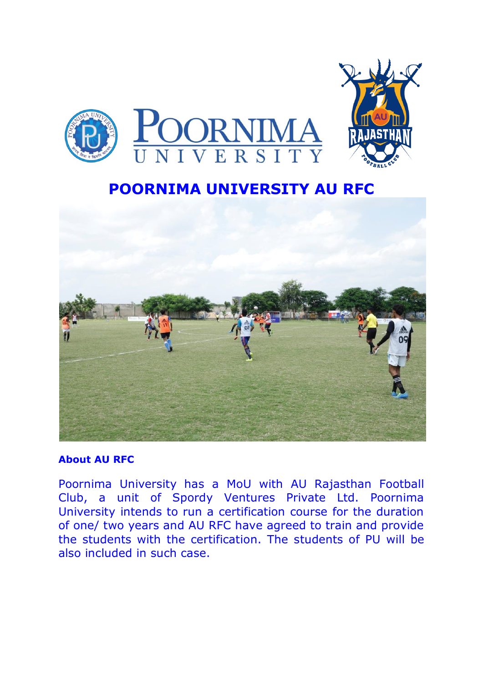

# **POORNIMA UNIVERSITY AU RFC**



#### **About AU RFC**

Poornima University has a MoU with AU Rajasthan Football Club, a unit of Spordy Ventures Private Ltd. Poornima University intends to run a certification course for the duration of one/ two years and AU RFC have agreed to train and provide the students with the certification. The students of PU will be also included in such case.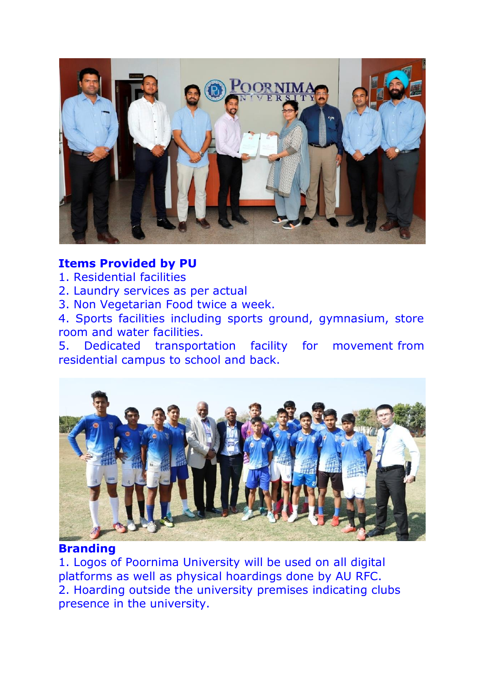

## **Items Provided by PU**

- 1. Residential facilities
- 2. Laundry services as per actual
- 3. Non Vegetarian Food twice a week.

4. Sports facilities including sports ground, gymnasium, store room and water facilities.

5. Dedicated transportation facility for movement from residential campus to school and back.



### **Branding**

1. Logos of Poornima University will be used on all digital platforms as well as physical hoardings done by AU RFC. 2. Hoarding outside the university premises indicating clubs presence in the university.